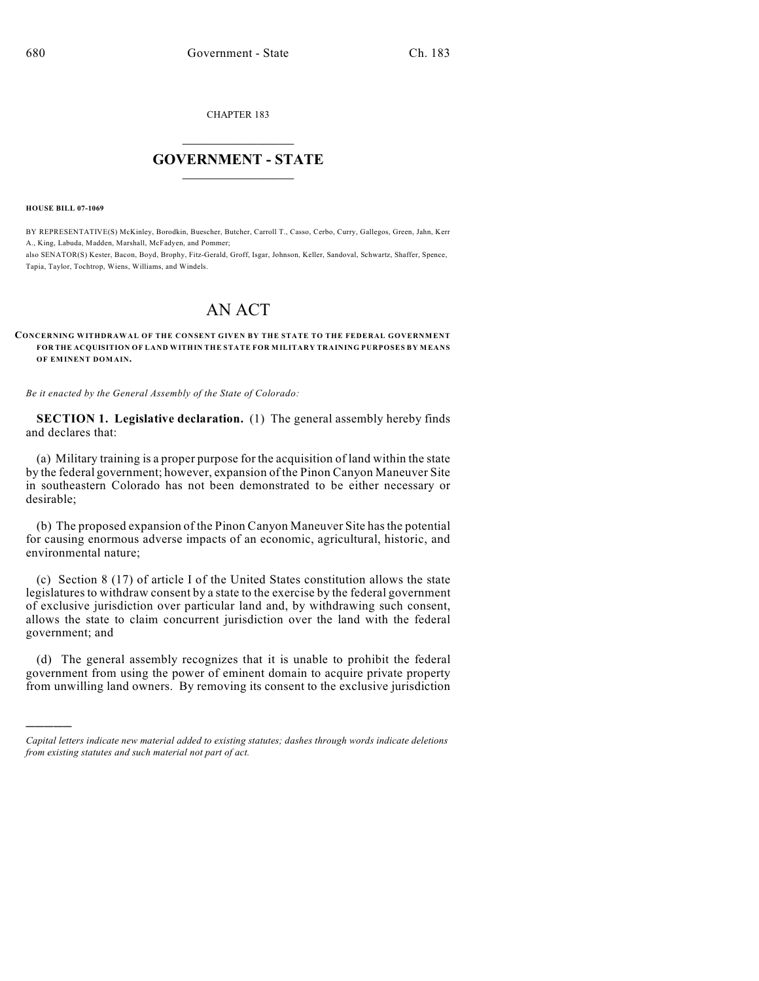CHAPTER 183

## $\overline{\phantom{a}}$  . The set of the set of the set of the set of the set of the set of the set of the set of the set of the set of the set of the set of the set of the set of the set of the set of the set of the set of the set o **GOVERNMENT - STATE**  $\_$

**HOUSE BILL 07-1069**

Tapia, Taylor, Tochtrop, Wiens, Williams, and Windels.

)))))

BY REPRESENTATIVE(S) McKinley, Borodkin, Buescher, Butcher, Carroll T., Casso, Cerbo, Curry, Gallegos, Green, Jahn, Kerr A., King, Labuda, Madden, Marshall, McFadyen, and Pommer; also SENATOR(S) Kester, Bacon, Boyd, Brophy, Fitz-Gerald, Groff, Isgar, Johnson, Keller, Sandoval, Schwartz, Shaffer, Spence,

## AN ACT

## **CONCERNING WITHDRAWAL OF THE CONSENT GIVEN BY THE STATE TO THE FEDERAL GOVERNMENT FOR THE ACQUISITION OF LAND WITHIN THE STATE FOR MILITARY TRAINING PURPOSES BY MEANS OF EMINENT DOMAIN.**

*Be it enacted by the General Assembly of the State of Colorado:*

**SECTION 1. Legislative declaration.** (1) The general assembly hereby finds and declares that:

(a) Military training is a proper purpose for the acquisition of land within the state by the federal government; however, expansion of the Pinon Canyon Maneuver Site in southeastern Colorado has not been demonstrated to be either necessary or desirable;

(b) The proposed expansion of the Pinon Canyon Maneuver Site has the potential for causing enormous adverse impacts of an economic, agricultural, historic, and environmental nature;

(c) Section 8 (17) of article I of the United States constitution allows the state legislatures to withdraw consent by a state to the exercise by the federal government of exclusive jurisdiction over particular land and, by withdrawing such consent, allows the state to claim concurrent jurisdiction over the land with the federal government; and

(d) The general assembly recognizes that it is unable to prohibit the federal government from using the power of eminent domain to acquire private property from unwilling land owners. By removing its consent to the exclusive jurisdiction

*Capital letters indicate new material added to existing statutes; dashes through words indicate deletions from existing statutes and such material not part of act.*